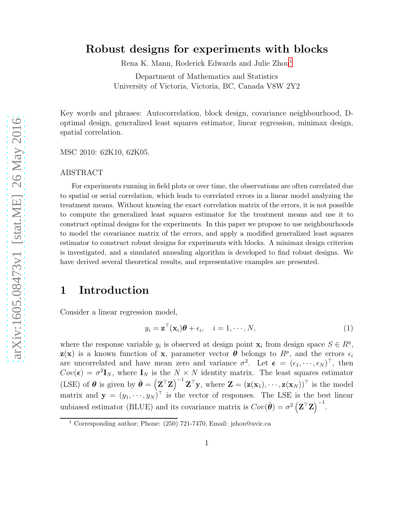### Robust designs for experiments with blocks

Rena K. Mann, Roderick Edwards and Julie Zhou[1](#page-0-0)

Department of Mathematics and Statistics University of Victoria, Victoria, BC, Canada V8W 2Y2

Key words and phrases: Autocorrelation, block design, covariance neighbourhood, Doptimal design, generalized least squares estimator, linear regression, minimax design, spatial correlation.

MSC 2010: 62K10, 62K05.

#### ABSTRACT

For experiments running in field plots or over time, the observations are often correlated due to spatial or serial correlation, which leads to correlated errors in a linear model analyzing the treatment means. Without knowing the exact correlation matrix of the errors, it is not possible to compute the generalized least squares estimator for the treatment means and use it to construct optimal designs for the experiments. In this paper we propose to use neighbourhoods to model the covariance matrix of the errors, and apply a modified generalized least squares estimator to construct robust designs for experiments with blocks. A minimax design criterion is investigated, and a simulated annealing algorithm is developed to find robust designs. We have derived several theoretical results, and representative examples are presented.

## 1 Introduction

Consider a linear regression model,

$$
y_i = \mathbf{z}^\top(\mathbf{x}_i)\boldsymbol{\theta} + \epsilon_i, \quad i = 1, \cdots, N,
$$
\n(1)

where the response variable  $y_i$  is observed at design point  $\mathbf{x}_i$  from design space  $S \in \mathbb{R}^q$ ,  $z(x)$  is a known function of x, parameter vector  $\boldsymbol{\theta}$  belongs to  $R^p$ , and the errors  $\epsilon_i$ are uncorrelated and have mean zero and variance  $\sigma^2$ . Let  $\boldsymbol{\epsilon} = (\epsilon_1, \dots, \epsilon_N)^\top$ , then  $Cov(\epsilon) = \sigma^2 \mathbf{I}_N$ , where  $\mathbf{I}_N$  is the  $N \times N$  identity matrix. The least squares estimator (LSE) of  $\theta$  is given by  $\hat{\theta} = (\mathbf{Z}^\top \mathbf{Z})^{-1} \mathbf{Z}^\top \mathbf{y}$ , where  $\mathbf{Z} = (\mathbf{z}(\mathbf{x}_1), \cdots, \mathbf{z}(\mathbf{x}_N))^\top$  is the model matrix and  $\mathbf{y} = (y_1, \dots, y_N)^\top$  is the vector of responses. The LSE is the best linear unbiased estimator (BLUE) and its covariance matrix is  $Cov(\hat{\theta}) = \sigma^2 (\mathbf{Z}^\top \mathbf{Z})^{-1}$ .

<span id="page-0-0"></span><sup>&</sup>lt;sup>1</sup> Corresponding author; Phone:  $(250)$  721-7470, Email: jzhou@uvic.ca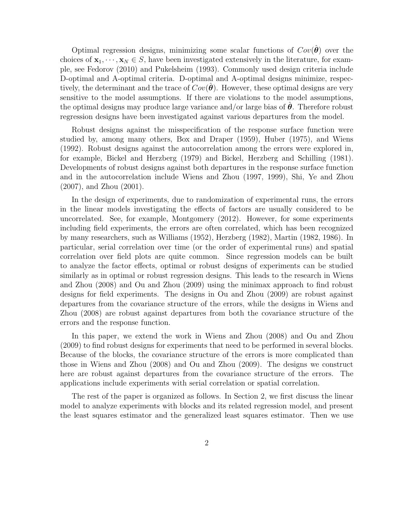Optimal regression designs, minimizing some scalar functions of  $Cov(\hat{\theta})$  over the choices of  $\mathbf{x}_1, \dots, \mathbf{x}_N \in S$ , have been investigated extensively in the literature, for example, see Fedorov (2010) and Pukelsheim (1993). Commonly used design criteria include D-optimal and A-optimal criteria. D-optimal and A-optimal designs minimize, respectively, the determinant and the trace of  $Cov(\theta)$ . However, these optimal designs are very sensitive to the model assumptions. If there are violations to the model assumptions, the optimal designs may produce large variance and/or large bias of  $\theta$ . Therefore robust regression designs have been investigated against various departures from the model.

Robust designs against the misspecification of the response surface function were studied by, among many others, Box and Draper (1959), Huber (1975), and Wiens (1992). Robust designs against the autocorrelation among the errors were explored in, for example, Bickel and Herzberg (1979) and Bickel, Herzberg and Schilling (1981). Developments of robust designs against both departures in the response surface function and in the autocorrelation include Wiens and Zhou (1997, 1999), Shi, Ye and Zhou (2007), and Zhou (2001).

In the design of experiments, due to randomization of experimental runs, the errors in the linear models investigating the effects of factors are usually considered to be uncorrelated. See, for example, Montgomery (2012). However, for some experiments including field experiments, the errors are often correlated, which has been recognized by many researchers, such as Williams (1952), Herzberg (1982), Martin (1982, 1986). In particular, serial correlation over time (or the order of experimental runs) and spatial correlation over field plots are quite common. Since regression models can be built to analyze the factor effects, optimal or robust designs of experiments can be studied similarly as in optimal or robust regression designs. This leads to the research in Wiens and Zhou (2008) and Ou and Zhou (2009) using the minimax approach to find robust designs for field experiments. The designs in Ou and Zhou (2009) are robust against departures from the covariance structure of the errors, while the designs in Wiens and Zhou (2008) are robust against departures from both the covariance structure of the errors and the response function.

In this paper, we extend the work in Wiens and Zhou (2008) and Ou and Zhou (2009) to find robust designs for experiments that need to be performed in several blocks. Because of the blocks, the covariance structure of the errors is more complicated than those in Wiens and Zhou (2008) and Ou and Zhou (2009). The designs we construct here are robust against departures from the covariance structure of the errors. The applications include experiments with serial correlation or spatial correlation.

The rest of the paper is organized as follows. In Section 2, we first discuss the linear model to analyze experiments with blocks and its related regression model, and present the least squares estimator and the generalized least squares estimator. Then we use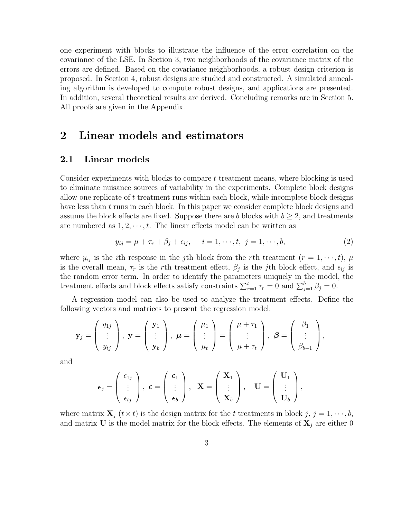one experiment with blocks to illustrate the influence of the error correlation on the covariance of the LSE. In Section 3, two neighborhoods of the covariance matrix of the errors are defined. Based on the covariance neighborhoods, a robust design criterion is proposed. In Section 4, robust designs are studied and constructed. A simulated annealing algorithm is developed to compute robust designs, and applications are presented. In addition, several theoretical results are derived. Concluding remarks are in Section 5. All proofs are given in the Appendix.

## 2 Linear models and estimators

### 2.1 Linear models

Consider experiments with blocks to compare t treatment means, where blocking is used to eliminate nuisance sources of variability in the experiments. Complete block designs allow one replicate of t treatment runs within each block, while incomplete block designs have less than  $t$  runs in each block. In this paper we consider complete block designs and assume the block effects are fixed. Suppose there are b blocks with  $b \geq 2$ , and treatments are numbered as  $1, 2, \dots, t$ . The linear effects model can be written as

<span id="page-2-0"></span>
$$
y_{ij} = \mu + \tau_r + \beta_j + \epsilon_{ij}, \quad i = 1, \dots, t, \ j = 1, \dots, b,
$$
 (2)

where  $y_{ij}$  is the *i*th response in the *j*th block from the *r*th treatment  $(r = 1, \dots, t)$ ,  $\mu$ is the overall mean,  $\tau_r$  is the rth treatment effect,  $\beta_j$  is the *j*th block effect, and  $\epsilon_{ij}$  is the random error term. In order to identify the parameters uniquely in the model, the treatment effects and block effects satisfy constraints  $\sum_{r=1}^{t} \tau_r = 0$  and  $\sum_{j=1}^{b} \beta_j = 0$ .

A regression model can also be used to analyze the treatment effects. Define the following vectors and matrices to present the regression model:

$$
\mathbf{y}_j = \begin{pmatrix} y_{1j} \\ \vdots \\ y_{tj} \end{pmatrix}, \ \mathbf{y} = \begin{pmatrix} \mathbf{y}_1 \\ \vdots \\ \mathbf{y}_b \end{pmatrix}, \ \boldsymbol{\mu} = \begin{pmatrix} \mu_1 \\ \vdots \\ \mu_t \end{pmatrix} = \begin{pmatrix} \mu + \tau_1 \\ \vdots \\ \mu + \tau_t \end{pmatrix}, \ \boldsymbol{\beta} = \begin{pmatrix} \beta_1 \\ \vdots \\ \beta_{b-1} \end{pmatrix},
$$

and

$$
\boldsymbol{\epsilon}_j = \begin{pmatrix} \epsilon_{1j} \\ \vdots \\ \epsilon_{tj} \end{pmatrix}, \ \boldsymbol{\epsilon} = \begin{pmatrix} \boldsymbol{\epsilon}_1 \\ \vdots \\ \boldsymbol{\epsilon}_b \end{pmatrix}, \quad \mathbf{X} = \begin{pmatrix} \mathbf{X}_1 \\ \vdots \\ \mathbf{X}_b \end{pmatrix}, \quad \mathbf{U} = \begin{pmatrix} \mathbf{U}_1 \\ \vdots \\ \mathbf{U}_b \end{pmatrix},
$$

where matrix  $\mathbf{X}_i$   $(t \times t)$  is the design matrix for the t treatments in block  $j, j = 1, \dots, b$ , and matrix U is the model matrix for the block effects. The elements of  $X_j$  are either 0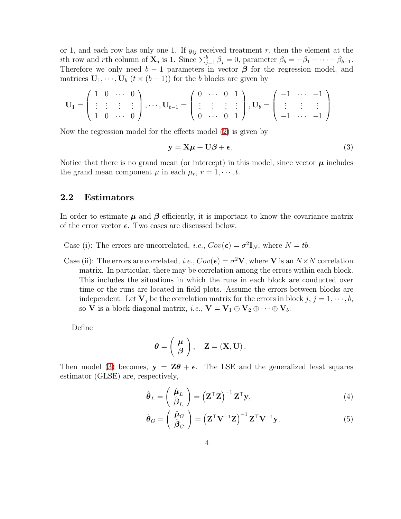or 1, and each row has only one 1. If  $y_{ij}$  received treatment r, then the element at the ith row and rth column of  $\mathbf{X}_j$  is 1. Since  $\sum_{j=1}^b \beta_j = 0$ , parameter  $\beta_b = -\beta_1 - \cdots - \beta_{b-1}$ . Therefore we only need  $b - 1$  parameters in vector  $\beta$  for the regression model, and matrices  $\mathbf{U}_1, \cdots, \mathbf{U}_b$   $(t \times (b-1))$  for the b blocks are given by

$$
\mathbf{U}_1 = \left( \begin{array}{cccc} 1 & 0 & \cdots & 0 \\ \vdots & \vdots & \vdots & \vdots \\ 1 & 0 & \cdots & 0 \end{array} \right), \cdots, \mathbf{U}_{b-1} = \left( \begin{array}{cccc} 0 & \cdots & 0 & 1 \\ \vdots & \vdots & \vdots & \vdots \\ 0 & \cdots & 0 & 1 \end{array} \right), \mathbf{U}_b = \left( \begin{array}{cccc} -1 & \cdots & -1 \\ \vdots & \vdots & \vdots \\ -1 & \cdots & -1 \end{array} \right).
$$

Now the regression model for the effects model [\(2\)](#page-2-0) is given by

<span id="page-3-0"></span>
$$
y = X\mu + U\beta + \epsilon. \tag{3}
$$

Notice that there is no grand mean (or intercept) in this model, since vector  $\mu$  includes the grand mean component  $\mu$  in each  $\mu_r$ ,  $r = 1, \dots, t$ .

### 2.2 Estimators

In order to estimate  $\mu$  and  $\beta$  efficiently, it is important to know the covariance matrix of the error vector  $\epsilon$ . Two cases are discussed below.

Case (i): The errors are uncorrelated, *i.e.*,  $Cov(\epsilon) = \sigma^2 \mathbf{I}_N$ , where  $N = tb$ .

Case (ii): The errors are correlated, i.e.,  $Cov(\epsilon) = \sigma^2 \mathbf{V}$ , where **V** is an  $N \times N$  correlation matrix. In particular, there may be correlation among the errors within each block. This includes the situations in which the runs in each block are conducted over time or the runs are located in field plots. Assume the errors between blocks are independent. Let  $V_i$  be the correlation matrix for the errors in block  $j, j = 1, \dots, b$ , so **V** is a block diagonal matrix, *i.e.*,  $\mathbf{V} = \mathbf{V}_1 \oplus \mathbf{V}_2 \oplus \cdots \oplus \mathbf{V}_b$ .

Define

$$
\boldsymbol{\theta} = \left(\begin{array}{c} \boldsymbol{\mu} \\ \boldsymbol{\beta} \end{array}\right), \quad \mathbf{Z} = (\mathbf{X}, \mathbf{U}).
$$

Then model [\(3\)](#page-3-0) becomes,  $y = Z\theta + \epsilon$ . The LSE and the generalized least squares estimator (GLSE) are, respectively,

<span id="page-3-1"></span>
$$
\hat{\boldsymbol{\theta}}_L = \left(\begin{array}{c} \hat{\boldsymbol{\mu}}_L \\ \hat{\boldsymbol{\beta}}_L \end{array}\right) = \left(\mathbf{Z}^\top \mathbf{Z}\right)^{-1} \mathbf{Z}^\top \mathbf{y},\tag{4}
$$

$$
\hat{\boldsymbol{\theta}}_G = \left(\begin{array}{c} \hat{\boldsymbol{\mu}}_G \\ \hat{\boldsymbol{\beta}}_G \end{array}\right) = \left(\mathbf{Z}^\top \mathbf{V}^{-1} \mathbf{Z}\right)^{-1} \mathbf{Z}^\top \mathbf{V}^{-1} \mathbf{y}.
$$
\n(5)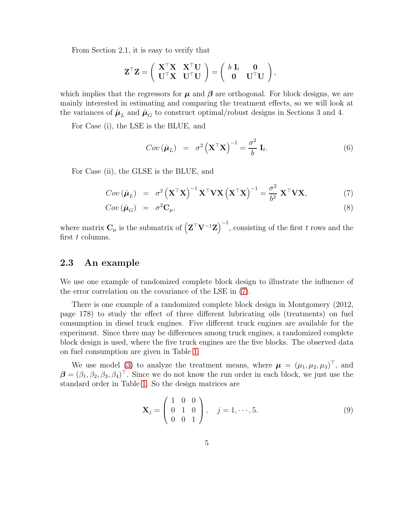From Section 2.1, it is easy to verify that

$$
\mathbf{Z}^\top \mathbf{Z} = \left( \begin{array}{cc} \mathbf{X}^\top \mathbf{X} & \mathbf{X}^\top \mathbf{U} \\ \mathbf{U}^\top \mathbf{X} & \mathbf{U}^\top \mathbf{U} \end{array} \right) = \left( \begin{array}{cc} b \ \mathbf{I}_t & \mathbf{0} \\ \mathbf{0} & \mathbf{U}^\top \mathbf{U} \end{array} \right),
$$

which implies that the regressors for  $\mu$  and  $\beta$  are orthogonal. For block designs, we are mainly interested in estimating and comparing the treatment effects, so we will look at the variances of  $\hat{\mu}_L$  and  $\hat{\mu}_G$  to construct optimal/robust designs in Sections 3 and 4.

For Case (i), the LSE is the BLUE, and

<span id="page-4-1"></span>
$$
Cov\left(\hat{\boldsymbol{\mu}}_L\right) = \sigma^2 \left(\mathbf{X}^\top \mathbf{X}\right)^{-1} = \frac{\sigma^2}{b} \mathbf{I}_t. \tag{6}
$$

For Case (ii), the GLSE is the BLUE, and

<span id="page-4-0"></span>
$$
Cov\left(\hat{\boldsymbol{\mu}}_{L}\right) = \sigma^{2} \left(\mathbf{X}^{\top} \mathbf{X}\right)^{-1} \mathbf{X}^{\top} \mathbf{V} \mathbf{X} \left(\mathbf{X}^{\top} \mathbf{X}\right)^{-1} = \frac{\sigma^{2}}{b^{2}} \mathbf{X}^{\top} \mathbf{V} \mathbf{X},\tag{7}
$$

$$
Cov\left(\hat{\boldsymbol{\mu}}_G\right) = \sigma^2 \mathbf{C}_{\mu},\tag{8}
$$

where matrix  $\mathbf{C}_{\mu}$  is the submatrix of  $(\mathbf{Z}^{\top}\mathbf{V}^{-1}\mathbf{Z})^{-1}$ , consisting of the first t rows and the first  $t$  columns.

#### 2.3 An example

We use one example of randomized complete block design to illustrate the influence of the error correlation on the covariance of the LSE in [\(7\)](#page-4-0).

There is one example of a randomized complete block design in Montgomery (2012, page 178) to study the effect of three different lubricating oils (treatments) on fuel consumption in diesel truck engines. Five different truck engines are available for the experiment. Since there may be differences among truck engines, a randomized complete block design is used, where the five truck engines are the five blocks. The observed data on fuel consumption are given in Table [1.](#page-5-0)

We use model [\(3\)](#page-3-0) to analyze the treatment means, where  $\mu = (\mu_1, \mu_2, \mu_3)^T$ , and  $\boldsymbol{\beta} = (\beta_1, \beta_2, \beta_3, \beta_4)^{\top}$ . Since we do not know the run order in each block, we just use the standard order in Table [1.](#page-5-0) So the design matrices are

<span id="page-4-2"></span>
$$
\mathbf{X}_{j} = \begin{pmatrix} 1 & 0 & 0 \\ 0 & 1 & 0 \\ 0 & 0 & 1 \end{pmatrix}, \quad j = 1, \cdots, 5.
$$
 (9)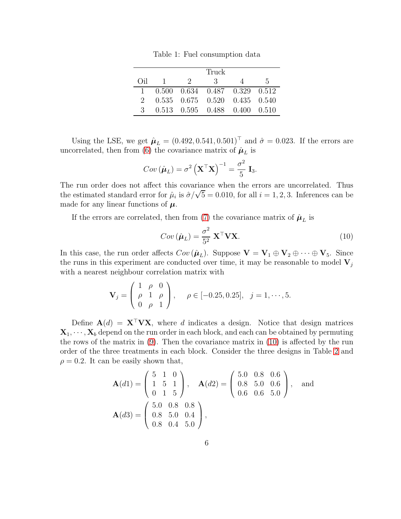<span id="page-5-0"></span>Table 1: Fuel consumption data

|                |  | Truck                                                   |   |     |
|----------------|--|---------------------------------------------------------|---|-----|
| (i)            |  | $\frac{1}{2}$ $\frac{2}{3}$                             | 4 | -5. |
|                |  | $0.500 \quad 0.634 \quad 0.487 \quad 0.329 \quad 0.512$ |   |     |
| $2 -$          |  | $0.535$ $0.675$ $0.520$ $0.435$ $0.540$                 |   |     |
| $\mathbf{3}^-$ |  | 0.513 0.595 0.488 0.400 0.510                           |   |     |

Using the LSE, we get  $\hat{\mu}_L = (0.492, 0.541, 0.501)^\top$  and  $\hat{\sigma} = 0.023$ . If the errors are uncorrelated, then from [\(6\)](#page-4-1) the covariance matrix of  $\hat{\mu}_L$  is

$$
Cov\left(\hat{\boldsymbol{\mu}}_L\right) = \sigma^2 \left(\mathbf{X}^\top \mathbf{X}\right)^{-1} = \frac{\sigma^2}{5} \mathbf{I}_3.
$$

The run order does not affect this covariance when the errors are uncorrelated. Thus the estimated standard error for  $\hat{\mu}_i$  is  $\hat{\sigma}/\sqrt{5} = 0.010$ , for all  $i = 1, 2, 3$ . Inferences can be made for any linear functions of  $\mu$ .

If the errors are correlated, then from [\(7\)](#page-4-0) the covariance matrix of  $\hat{\mu}_L$  is

<span id="page-5-1"></span>
$$
Cov\left(\hat{\boldsymbol{\mu}}_L\right) = \frac{\sigma^2}{5^2} \mathbf{X}^\top \mathbf{V} \mathbf{X}.\tag{10}
$$

In this case, the run order affects  $Cov(\hat{\boldsymbol{\mu}}_L)$ . Suppose  $\mathbf{V} = \mathbf{V}_1 \oplus \mathbf{V}_2 \oplus \cdots \oplus \mathbf{V}_5$ . Since the runs in this experiment are conducted over time, it may be reasonable to model  $V_i$ with a nearest neighbour correlation matrix with

$$
\mathbf{V}_{j} = \begin{pmatrix} 1 & \rho & 0 \\ \rho & 1 & \rho \\ 0 & \rho & 1 \end{pmatrix}, \quad \rho \in [-0.25, 0.25], \quad j = 1, \cdots, 5.
$$

Define  $\mathbf{A}(d) = \mathbf{X}^\top \mathbf{V} \mathbf{X}$ , where d indicates a design. Notice that design matrices  $X_1, \dots, X_b$  depend on the run order in each block, and each can be obtained by permuting the rows of the matrix in [\(9\)](#page-4-2). Then the covariance matrix in [\(10\)](#page-5-1) is affected by the run order of the three treatments in each block. Consider the three designs in Table [2](#page-6-0) and  $\rho = 0.2$ . It can be easily shown that,

$$
\mathbf{A}(d1) = \begin{pmatrix} 5 & 1 & 0 \\ 1 & 5 & 1 \\ 0 & 1 & 5 \end{pmatrix}, \quad \mathbf{A}(d2) = \begin{pmatrix} 5.0 & 0.8 & 0.6 \\ 0.8 & 5.0 & 0.6 \\ 0.6 & 0.6 & 5.0 \end{pmatrix}, \text{ and}
$$

$$
\mathbf{A}(d3) = \begin{pmatrix} 5.0 & 0.8 & 0.8 \\ 0.8 & 5.0 & 0.4 \\ 0.8 & 0.4 & 5.0 \end{pmatrix},
$$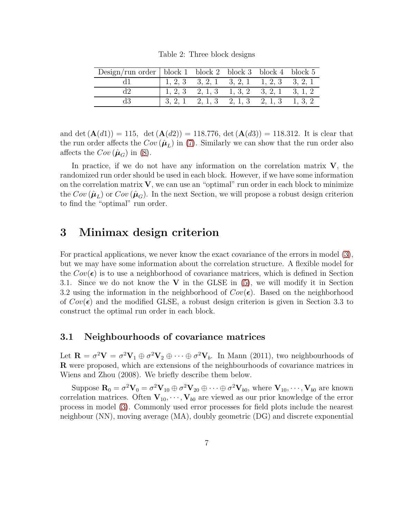<span id="page-6-0"></span>Table 2: Three block designs

| Design/run order   block 1 block 2 block 3 block 4 block 5 |                                                                                     |  |                                                   |  |
|------------------------------------------------------------|-------------------------------------------------------------------------------------|--|---------------------------------------------------|--|
|                                                            | $\begin{array}{cccccc} 1, 2, 3 & 3, 2, 1 & 3, 2, 1 & 1, 2, 3 & 3, 2, 1 \end{array}$ |  |                                                   |  |
|                                                            | $\begin{array}{cccccc} 1, 2, 3 & 2, 1, 3 & 1, 3, 2 & 3, 2, 1 & 3, 1, 2 \end{array}$ |  |                                                   |  |
|                                                            |                                                                                     |  | $3, 2, 1$ $2, 1, 3$ $2, 1, 3$ $2, 1, 3$ $1, 3, 2$ |  |

and det  $(A(d1)) = 115$ , det  $(A(d2)) = 118.776$ , det  $(A(d3)) = 118.312$ . It is clear that the run order affects the  $Cov(\hat{\mu}_L)$  in [\(7\)](#page-4-0). Similarly we can show that the run order also affects the  $Cov(\hat{\mu}_G)$  in [\(8\)](#page-4-0).

In practice, if we do not have any information on the correlation matrix  $V$ , the randomized run order should be used in each block. However, if we have some information on the correlation matrix  $V$ , we can use an "optimal" run order in each block to minimize the  $Cov(\hat{\mu}_L)$  or  $Cov(\hat{\mu}_G)$ . In the next Section, we will propose a robust design criterion to find the "optimal" run order.

### 3 Minimax design criterion

For practical applications, we never know the exact covariance of the errors in model [\(3\)](#page-3-0), but we may have some information about the correlation structure. A flexible model for the  $Cov(\epsilon)$  is to use a neighborhood of covariance matrices, which is defined in Section 3.1. Since we do not know the  $V$  in the GLSE in [\(5\)](#page-3-1), we will modify it in Section 3.2 using the information in the neighborhood of  $Cov(\epsilon)$ . Based on the neighborhood of  $Cov(\epsilon)$  and the modified GLSE, a robust design criterion is given in Section 3.3 to construct the optimal run order in each block.

#### 3.1 Neighbourhoods of covariance matrices

Let  $\mathbf{R} = \sigma^2 \mathbf{V} = \sigma^2 \mathbf{V}_1 \oplus \sigma^2 \mathbf{V}_2 \oplus \cdots \oplus \sigma^2 \mathbf{V}_b$ . In Mann (2011), two neighbourhoods of R were proposed, which are extensions of the neighbourhoods of covariance matrices in Wiens and Zhou (2008). We briefly describe them below.

Suppose  $\mathbf{R}_0 = \sigma^2 \mathbf{V}_0 = \sigma^2 \mathbf{V}_{10} \oplus \sigma^2 \mathbf{V}_{20} \oplus \cdots \oplus \sigma^2 \mathbf{V}_{b0}$ , where  $\mathbf{V}_{10}, \cdots, \mathbf{V}_{b0}$  are known correlation matrices. Often  $V_{10}, \dots, V_{b0}$  are viewed as our prior knowledge of the error process in model [\(3\)](#page-3-0). Commonly used error processes for field plots include the nearest neighbour (NN), moving average (MA), doubly geometric (DG) and discrete exponential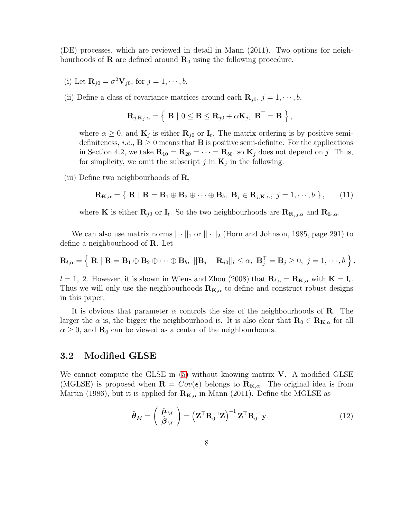(DE) processes, which are reviewed in detail in Mann (2011). Two options for neighbourhoods of **R** are defined around  $\mathbf{R}_0$  using the following procedure.

(i) Let  $\mathbf{R}_{j0} = \sigma^2 \mathbf{V}_{j0}$ , for  $j = 1, \dots, b$ .

(ii) Define a class of covariance matrices around each  $\mathbf{R}_{i0}$ ,  $j = 1, \dots, b$ ,

$$
\mathbf{R}_{j,\mathbf{K}_{j},\alpha} = \left\{ \mathbf{B} \mid 0 \leq \mathbf{B} \leq \mathbf{R}_{j0} + \alpha \mathbf{K}_{j}, \ \mathbf{B}^{\top} = \mathbf{B} \ \right\},\
$$

where  $\alpha \geq 0$ , and  $\mathbf{K}_j$  is either  $\mathbf{R}_{j0}$  or  $\mathbf{I}_t$ . The matrix ordering is by positive semidefiniteness, *i.e.*,  $\mathbf{B} \geq 0$  means that  $\mathbf{B}$  is positive semi-definite. For the applications in Section 4.2, we take  $\mathbf{R}_{10} = \mathbf{R}_{20} = \cdots = \mathbf{R}_{b0}$ , so  $\mathbf{K}_j$  does not depend on j. Thus, for simplicity, we omit the subscript j in  $\mathbf{K}_j$  in the following.

(iii) Define two neighbourhoods of  $\bf R$ ,

<span id="page-7-0"></span>
$$
\mathbf{R}_{\mathbf{K},\alpha} = \{ \mathbf{R} \mid \mathbf{R} = \mathbf{B}_1 \oplus \mathbf{B}_2 \oplus \cdots \oplus \mathbf{B}_b, \mathbf{B}_j \in \mathbf{R}_{j,\mathbf{K},\alpha}, \ j = 1,\cdots,b \},\qquad(11)
$$

where **K** is either  $\mathbf{R}_{j0}$  or  $\mathbf{I}_t$ . So the two neighbourhoods are  $\mathbf{R}_{\mathbf{R}_{j0},\alpha}$  and  $\mathbf{R}_{\mathbf{I}_t,\alpha}$ .

We can also use matrix norms  $|| \cdot ||_1$  or  $|| \cdot ||_2$  (Horn and Johnson, 1985, page 291) to define a neighbourhood of R. Let

$$
\mathbf{R}_{l,\alpha} = \left\{ \left. \mathbf{R} \mid \mathbf{R} = \mathbf{B}_1 \oplus \mathbf{B}_2 \oplus \cdots \oplus \mathbf{B}_b, \right. \left. \left. \left\| \mathbf{B}_j - \mathbf{R}_{j0} \right\| \right| \leq \alpha, \right. \mathbf{B}_j^{\top} = \mathbf{B}_j \geq 0, \ j = 1, \cdots, b \right. \right\},
$$

 $l = 1, 2$ . However, it is shown in Wiens and Zhou (2008) that  $\mathbf{R}_{l,\alpha} = \mathbf{R}_{\mathbf{K},\alpha}$  with  $\mathbf{K} = \mathbf{I}_t$ . Thus we will only use the neighbourhoods  $\mathbf{R}_{\mathbf{K},\alpha}$  to define and construct robust designs in this paper.

It is obvious that parameter  $\alpha$  controls the size of the neighbourhoods of **R**. The larger the  $\alpha$  is, the bigger the neighbourhood is. It is also clear that  $\mathbf{R}_{0} \in \mathbf{R}_{\mathbf{K},\alpha}$  for all  $\alpha \geq 0$ , and  $\mathbf{R}_0$  can be viewed as a center of the neighbourhoods.

#### 3.2 Modified GLSE

We cannot compute the GLSE in  $(5)$  without knowing matrix **V**. A modified GLSE (MGLSE) is proposed when  $\mathbf{R} = Cov(\epsilon)$  belongs to  $\mathbf{R}_{\mathbf{K},\alpha}$ . The original idea is from Martin (1986), but it is applied for  $\mathbf{R}_{\mathbf{K},\alpha}$  in Mann (2011). Define the MGLSE as

<span id="page-7-1"></span>
$$
\hat{\boldsymbol{\theta}}_M = \left(\begin{array}{c} \hat{\boldsymbol{\mu}}_M \\ \hat{\boldsymbol{\beta}}_M \end{array}\right) = \left(\mathbf{Z}^\top \mathbf{R}_0^{-1} \mathbf{Z}\right)^{-1} \mathbf{Z}^\top \mathbf{R}_0^{-1} \mathbf{y}.
$$
\n(12)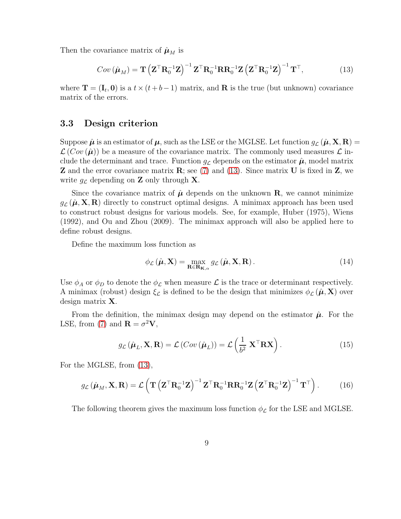Then the covariance matrix of  $\hat{\mu}_M$  is

<span id="page-8-0"></span>
$$
Cov\left(\hat{\boldsymbol{\mu}}_{M}\right) = \mathbf{T}\left(\mathbf{Z}^{\top}\mathbf{R}_{0}^{-1}\mathbf{Z}\right)^{-1}\mathbf{Z}^{\top}\mathbf{R}_{0}^{-1}\mathbf{R}\mathbf{R}_{0}^{-1}\mathbf{Z}\left(\mathbf{Z}^{\top}\mathbf{R}_{0}^{-1}\mathbf{Z}\right)^{-1}\mathbf{T}^{\top},\tag{13}
$$

where  $\mathbf{T} = (\mathbf{I}_t, \mathbf{0})$  is a  $t \times (t + b - 1)$  matrix, and **R** is the true (but unknown) covariance matrix of the errors.

#### 3.3 Design criterion

Suppose  $\hat{\mu}$  is an estimator of  $\mu$ , such as the LSE or the MGLSE. Let function  $g_{\mathcal{L}}(\hat{\mu}, \mathbf{X}, \mathbf{R}) =$  $\mathcal{L}(Cov(\hat{\mu}))$  be a measure of the covariance matrix. The commonly used measures  $\mathcal{L}$  include the determinant and trace. Function  $g_{\mathcal{L}}$  depends on the estimator  $\hat{\boldsymbol{\mu}}$ , model matrix **Z** and the error covariance matrix  $\mathbf{R}$ ; see [\(7\)](#page-4-0) and [\(13\)](#page-8-0). Since matrix **U** is fixed in **Z**, we write  $g_{\mathcal{L}}$  depending on **Z** only through **X**.

Since the covariance matrix of  $\hat{\mu}$  depends on the unknown **R**, we cannot minimize  $q_c(\hat{\boldsymbol{\mu}}, \mathbf{X}, \mathbf{R})$  directly to construct optimal designs. A minimax approach has been used to construct robust designs for various models. See, for example, Huber (1975), Wiens (1992), and Ou and Zhou (2009). The minimax approach will also be applied here to define robust designs.

Define the maximum loss function as

<span id="page-8-2"></span>
$$
\phi_{\mathcal{L}}\left(\hat{\boldsymbol{\mu}}, \mathbf{X}\right) = \max_{\mathbf{R} \in \mathbf{R}_{\mathbf{K}, \alpha}} g_{\mathcal{L}}\left(\hat{\boldsymbol{\mu}}, \mathbf{X}, \mathbf{R}\right). \tag{14}
$$

Use  $\phi_A$  or  $\phi_D$  to denote the  $\phi_{\mathcal{L}}$  when measure  $\mathcal{L}$  is the trace or determinant respectively. A minimax (robust) design  $\xi_{\mathcal{L}}$  is defined to be the design that minimizes  $\phi_{\mathcal{L}}(\hat{\boldsymbol{\mu}}, \mathbf{X})$  over design matrix X.

From the definition, the minimax design may depend on the estimator  $\hat{\mu}$ . For the LSE, from [\(7\)](#page-4-0) and  $\mathbf{R} = \sigma^2 \mathbf{V}$ ,

<span id="page-8-1"></span>
$$
g_{\mathcal{L}}\left(\hat{\boldsymbol{\mu}}_{L}, \mathbf{X}, \mathbf{R}\right) = \mathcal{L}\left(Cov\left(\hat{\boldsymbol{\mu}}_{L}\right)\right) = \mathcal{L}\left(\frac{1}{b^{2}} \mathbf{X}^{\top} \mathbf{R} \mathbf{X}\right). \tag{15}
$$

For the MGLSE, from [\(13\)](#page-8-0),

<span id="page-8-3"></span>
$$
g_{\mathcal{L}}\left(\hat{\boldsymbol{\mu}}_{M}, \mathbf{X}, \mathbf{R}\right) = \mathcal{L}\left(\mathbf{T}\left(\mathbf{Z}^{\top}\mathbf{R}_{0}^{-1}\mathbf{Z}\right)^{-1}\mathbf{Z}^{\top}\mathbf{R}_{0}^{-1}\mathbf{R}\mathbf{R}_{0}^{-1}\mathbf{Z}\left(\mathbf{Z}^{\top}\mathbf{R}_{0}^{-1}\mathbf{Z}\right)^{-1}\mathbf{T}^{\top}\right).
$$
 (16)

The following theorem gives the maximum loss function  $\phi_{\mathcal{L}}$  for the LSE and MGLSE.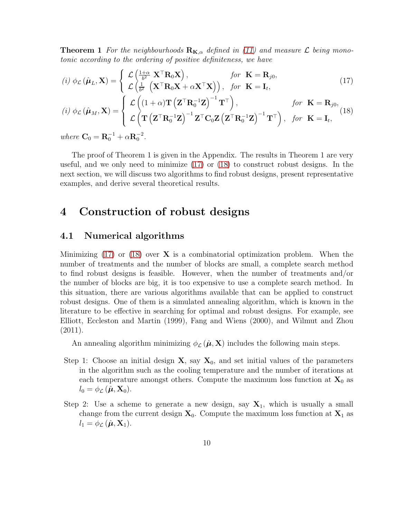**Theorem 1** For the neighbourhoods  $\mathbf{R}_{\mathbf{K},\alpha}$  defined in [\(11\)](#page-7-0) and measure L being monotonic according to the ordering of positive definiteness, we have

<span id="page-9-0"></span>
$$
(i) \phi_{\mathcal{L}}(\hat{\boldsymbol{\mu}}_{L}, \mathbf{X}) = \begin{cases} \mathcal{L} \left( \frac{1+\alpha}{b^{2}} \mathbf{X}^{\top} \mathbf{R}_{0} \mathbf{X} \right), & \text{for } \mathbf{K} = \mathbf{R}_{j0}, \\ \mathcal{L} \left( \frac{1}{b^{2}} \left( \mathbf{X}^{\top} \mathbf{R}_{0} \mathbf{X} + \alpha \mathbf{X}^{\top} \mathbf{X} \right) \right), & \text{for } \mathbf{K} = \mathbf{I}_{t}, \end{cases}
$$
(17)

(i) 
$$
\phi_{\mathcal{L}}(\hat{\boldsymbol{\mu}}_M, \mathbf{X}) = \begin{cases} \mathcal{L} \left( (1+\alpha) \mathbf{T} \left( \mathbf{Z}^{\top} \mathbf{R}_0^{-1} \mathbf{Z} \right)^{-1} \mathbf{T}^{\top} \right), & \text{for } \mathbf{K} = \mathbf{R}_{j0}, \\ \mathcal{L} \left( \mathbf{T} \left( \mathbf{Z}^{\top} \mathbf{R}_0^{-1} \mathbf{Z} \right)^{-1} \mathbf{Z}^{\top} \mathbf{C}_0 \mathbf{Z} \left( \mathbf{Z}^{\top} \mathbf{R}_0^{-1} \mathbf{Z} \right)^{-1} \mathbf{T}^{\top} \right), & \text{for } \mathbf{K} = \mathbf{I}_t, \end{cases}
$$

where  $C_0 = R_0^{-1} + \alpha R_0^{-2}$ .

The proof of Theorem 1 is given in the Appendix. The results in Theorem 1 are very useful, and we only need to minimize [\(17\)](#page-9-0) or [\(18\)](#page-9-0) to construct robust designs. In the next section, we will discuss two algorithms to find robust designs, present representative examples, and derive several theoretical results.

### 4 Construction of robust designs

### 4.1 Numerical algorithms

Minimizing  $(17)$  or  $(18)$  over **X** is a combinatorial optimization problem. When the number of treatments and the number of blocks are small, a complete search method to find robust designs is feasible. However, when the number of treatments and/or the number of blocks are big, it is too expensive to use a complete search method. In this situation, there are various algorithms available that can be applied to construct robust designs. One of them is a simulated annealing algorithm, which is known in the literature to be effective in searching for optimal and robust designs. For example, see Elliott, Eccleston and Martin (1999), Fang and Wiens (2000), and Wilmut and Zhou (2011).

An annealing algorithm minimizing  $\phi_{\mathcal{L}}(\hat{\boldsymbol{\mu}}, \mathbf{X})$  includes the following main steps.

- Step 1: Choose an initial design  $X$ , say  $X_0$ , and set initial values of the parameters in the algorithm such as the cooling temperature and the number of iterations at each temperature amongst others. Compute the maximum loss function at  $\mathbf{X}_0$  as  $l_0 = \phi_{\mathcal{L}}(\hat{\boldsymbol{\mu}}, \mathbf{X}_0).$
- Step 2: Use a scheme to generate a new design, say  $X_1$ , which is usually a small change from the current design  $X_0$ . Compute the maximum loss function at  $X_1$  as  $l_1 = \phi_{\mathcal{L}}(\hat{\boldsymbol{\mu}}, \mathbf{X}_1).$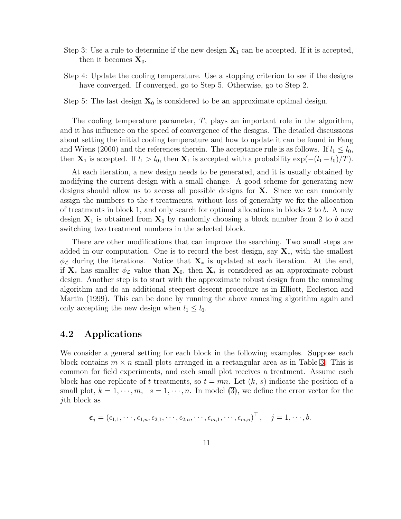- Step 3: Use a rule to determine if the new design  $X_1$  can be accepted. If it is accepted, then it becomes  $\mathbf{X}_0$ .
- Step 4: Update the cooling temperature. Use a stopping criterion to see if the designs have converged. If converged, go to Step 5. Otherwise, go to Step 2.

Step 5: The last design  $X_0$  is considered to be an approximate optimal design.

The cooling temperature parameter,  $T$ , plays an important role in the algorithm, and it has influence on the speed of convergence of the designs. The detailed discussions about setting the initial cooling temperature and how to update it can be found in Fang and Wiens (2000) and the references therein. The acceptance rule is as follows. If  $l_1 \leq l_0$ , then  $\mathbf{X}_1$  is accepted. If  $l_1 > l_0$ , then  $\mathbf{X}_1$  is accepted with a probability  $\exp(-(l_1 - l_0)/T)$ .

At each iteration, a new design needs to be generated, and it is usually obtained by modifying the current design with a small change. A good scheme for generating new designs should allow us to access all possible designs for X. Since we can randomly assign the numbers to the t treatments, without loss of generality we fix the allocation of treatments in block 1, and only search for optimal allocations in blocks 2 to b. A new design  $X_1$  is obtained from  $X_0$  by randomly choosing a block number from 2 to b and switching two treatment numbers in the selected block.

There are other modifications that can improve the searching. Two small steps are added in our computation. One is to record the best design, say  $X_*$ , with the smallest  $\phi_{\mathcal{L}}$  during the iterations. Notice that  $\mathbf{X}_{*}$  is updated at each iteration. At the end, if  $X_*$  has smaller  $\phi_{\mathcal{L}}$  value than  $X_0$ , then  $X_*$  is considered as an approximate robust design. Another step is to start with the approximate robust design from the annealing algorithm and do an additional steepest descent procedure as in Elliott, Eccleston and Martin (1999). This can be done by running the above annealing algorithm again and only accepting the new design when  $l_1 \leq l_0$ .

#### 4.2 Applications

We consider a general setting for each block in the following examples. Suppose each block contains  $m \times n$  small plots arranged in a rectangular area as in Table [3.](#page-11-0) This is common for field experiments, and each small plot receives a treatment. Assume each block has one replicate of t treatments, so  $t = mn$ . Let  $(k, s)$  indicate the position of a small plot,  $k = 1, \dots, m$ ,  $s = 1, \dots, n$ . In model [\(3\)](#page-3-0), we define the error vector for the jth block as

$$
\boldsymbol{\epsilon}_j = (\epsilon_{1,1},\cdots,\epsilon_{1,n},\epsilon_{2,1},\cdots,\epsilon_{2,n},\cdots,\epsilon_{m,1},\cdots,\epsilon_{m,n})^\top, \quad j=1,\cdots,b.
$$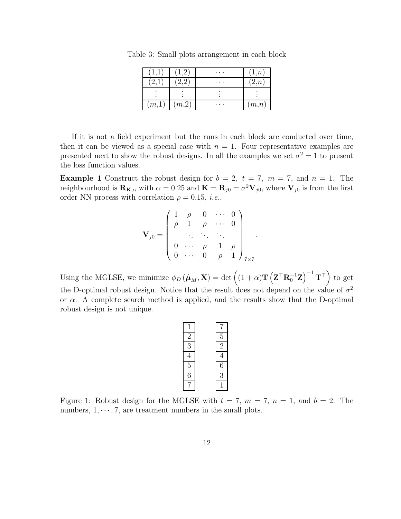<span id="page-11-0"></span>

|       |        | . | $\cdot$ <sup>n</sup> |
|-------|--------|---|----------------------|
|       |        | . | $\cdot$ n            |
|       |        |   |                      |
| (m,1) | (m, 2) |   | (m,n)                |

Table 3: Small plots arrangement in each block

If it is not a field experiment but the runs in each block are conducted over time, then it can be viewed as a special case with  $n = 1$ . Four representative examples are presented next to show the robust designs. In all the examples we set  $\sigma^2 = 1$  to present the loss function values.

**Example 1** Construct the robust design for  $b = 2$ ,  $t = 7$ ,  $m = 7$ , and  $n = 1$ . The neighbourhood is  $\mathbf{R}_{\mathbf{K},\alpha}$  with  $\alpha = 0.25$  and  $\mathbf{K} = \mathbf{R}_{j0} = \sigma^2 \mathbf{V}_{j0}$ , where  $\mathbf{V}_{j0}$  is from the first order NN process with correlation  $\rho = 0.15$ , *i.e.*,

$$
\mathbf{V}_{j0} = \left( \begin{array}{cccc} 1 & \rho & 0 & \cdots & 0 \\ \rho & 1 & \rho & \cdots & 0 \\ & \ddots & \ddots & \ddots & \vdots \\ 0 & \cdots & \rho & 1 & \rho \\ 0 & \cdots & 0 & \rho & 1 \end{array} \right)_{7 \times 7}.
$$

Using the MGLSE, we minimize  $\phi_D(\hat{\boldsymbol{\mu}}_M, \mathbf{X}) = \det \left( (1 + \alpha) \mathbf{T} \left( \mathbf{Z}^\top \mathbf{R}_0^{-1} \mathbf{Z} \right)^{-1} \mathbf{T}^\top \right)$  to get the D-optimal robust design. Notice that the result does not depend on the value of  $\sigma^2$ or  $\alpha$ . A complete search method is applied, and the results show that the D-optimal robust design is not unique.

<span id="page-11-1"></span>

Figure 1: Robust design for the MGLSE with  $t = 7$ ,  $m = 7$ ,  $n = 1$ , and  $b = 2$ . The numbers,  $1, \dots, 7$ , are treatment numbers in the small plots.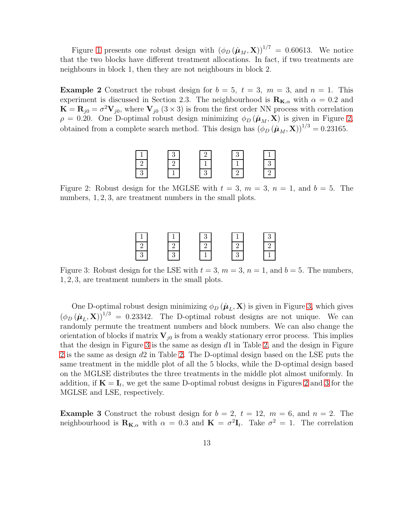Figure [1](#page-11-1) presents one robust design with  $(\phi_D(\hat{\boldsymbol{\mu}}_M, \mathbf{X}))^{1/7} = 0.60613$ . We notice that the two blocks have different treatment allocations. In fact, if two treatments are neighbours in block 1, then they are not neighbours in block 2.

**Example 2** Construct the robust design for  $b = 5$ ,  $t = 3$ ,  $m = 3$ , and  $n = 1$ . This experiment is discussed in Section 2.3. The neighbourhood is  $\mathbf{R}_{\mathbf{K},\alpha}$  with  $\alpha = 0.2$  and  $\mathbf{K} = \mathbf{R}_{j0} = \sigma^2 \mathbf{V}_{j0}$ , where  $\mathbf{V}_{j0}$  (3 × 3) is from the first order NN process with correlation  $\rho = 0.20$ . One D-optimal robust design minimizing  $\phi_D(\hat{\mu}_M, \mathbf{X})$  is given in Figure [2,](#page-12-0) obtained from a complete search method. This design has  $(\phi_D (\hat{\boldsymbol{\mu}}_M, \mathbf{X}))^{1/3} = 0.23165$ .



<span id="page-12-0"></span>Figure 2: Robust design for the MGLSE with  $t = 3$ ,  $m = 3$ ,  $n = 1$ , and  $b = 5$ . The numbers, 1, 2, 3, are treatment numbers in the small plots.

<span id="page-12-1"></span>Figure 3: Robust design for the LSE with  $t = 3$ ,  $m = 3$ ,  $n = 1$ , and  $b = 5$ . The numbers, 1, 2, 3, are treatment numbers in the small plots.

One D-optimal robust design minimizing  $\phi_D(\hat{\boldsymbol{\mu}}_L, \mathbf{X})$  is given in Figure [3,](#page-12-1) which gives  $(\phi_D(\hat{\boldsymbol{\mu}}_L, \mathbf{X}))$ <sup>1/3</sup> = 0.23342. The D-optimal robust designs are not unique. We can randomly permute the treatment numbers and block numbers. We can also change the orientation of blocks if matrix  $V_{i0}$  is from a weakly stationary error process. This implies that the design in Figure [3](#page-12-1) is the same as design  $d1$  in Table [2,](#page-6-0) and the design in Figure [2](#page-12-0) is the same as design d2 in Table [2.](#page-6-0) The D-optimal design based on the LSE puts the same treatment in the middle plot of all the 5 blocks, while the D-optimal design based on the MGLSE distributes the three treatments in the middle plot almost uniformly. In addition, if  $K = I_t$ , we get the same D-optimal robust designs in Figures [2](#page-12-0) and [3](#page-12-1) for the MGLSE and LSE, respectively.

**Example 3** Construct the robust design for  $b = 2$ ,  $t = 12$ ,  $m = 6$ , and  $n = 2$ . The neighbourhood is  $\mathbf{R}_{\mathbf{K},\alpha}$  with  $\alpha = 0.3$  and  $\mathbf{K} = \sigma^2 \mathbf{I}_t$ . Take  $\sigma^2 = 1$ . The correlation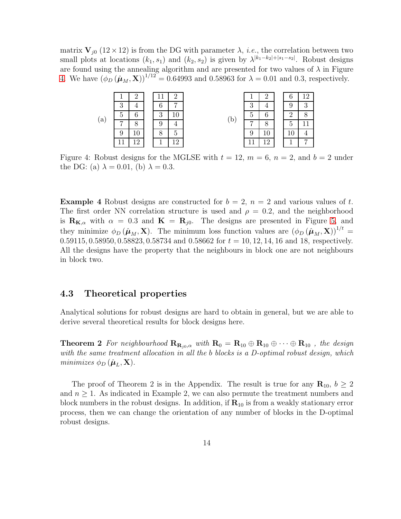matrix  $V_{i0}$  (12 × 12) is from the DG with parameter  $\lambda$ , *i.e.*, the correlation between two small plots at locations  $(k_1, s_1)$  and  $(k_2, s_2)$  is given by  $\lambda^{|k_1-k_2|+|s_1-s_2|}$ . Robust designs are found using the annealing algorithm and are presented for two values of  $\lambda$  in Figure [4.](#page-13-0) We have  $(\phi_D^{\text{U}}(\hat{\mu}_M, \mathbf{X}))^{1/12} = 0.64993$  and 0.58963 for  $\lambda = 0.01$  and 0.3, respectively.

|     |              |        |        |   |     |              |          | O |   |
|-----|--------------|--------|--------|---|-----|--------------|----------|---|---|
|     | 2<br>υ       |        | ჩ      | − |     | 3            |          | 9 | റ |
| (a) | $\mathbf{G}$ | ◠      | 2<br>U |   | `b` | $\mathbf{D}$ | 6        | റ |   |
|     | −            | ◠<br>u |        |   |     | −            | 8        | 5 |   |
|     |              |        |        |   |     | 9            |          |   |   |
|     |              | ↶      |        |   |     |              | $\Omega$ |   | ⇁ |

<span id="page-13-0"></span>Figure 4: Robust designs for the MGLSE with  $t = 12$ ,  $m = 6$ ,  $n = 2$ , and  $b = 2$  under the DG: (a)  $\lambda = 0.01$ , (b)  $\lambda = 0.3$ .

**Example 4** Robust designs are constructed for  $b = 2$ ,  $n = 2$  and various values of t. The first order NN correlation structure is used and  $\rho = 0.2$ , and the neighborhood is  $\mathbf{R}_{\mathbf{K},\alpha}$  with  $\alpha = 0.3$  and  $\mathbf{K} = \mathbf{R}_{i0}$ . The designs are presented in Figure [5,](#page-14-0) and they minimize  $\phi_D(\hat{\mu}_M, \mathbf{X})$ . The minimum loss function values are  $(\phi_D(\hat{\mu}_M, \mathbf{X}))^{1/t}$  $0.59115, 0.58950, 0.58823, 0.58734 \text{ and } 0.58662 \text{ for } t = 10, 12, 14, 16 \text{ and } 18$ , respectively. All the designs have the property that the neighbours in block one are not neighbours in block two.

### 4.3 Theoretical properties

Analytical solutions for robust designs are hard to obtain in general, but we are able to derive several theoretical results for block designs here.

**Theorem 2** For neighbourhood  $\mathbf{R}_{\mathbf{R}_{i0},\alpha}$  with  $\mathbf{R}_{0} = \mathbf{R}_{10} \oplus \mathbf{R}_{10} \oplus \cdots \oplus \mathbf{R}_{10}$ , the design with the same treatment allocation in all the b blocks is a D-optimal robust design, which minimizes  $\phi_D(\hat{\boldsymbol{\mu}}_L, \mathbf{X})$ .

The proof of Theorem 2 is in the Appendix. The result is true for any  $\mathbf{R}_{10}$ ,  $b \geq 2$ and  $n \geq 1$ . As indicated in Example 2, we can also permute the treatment numbers and block numbers in the robust designs. In addition, if  $\mathbf{R}_{10}$  is from a weakly stationary error process, then we can change the orientation of any number of blocks in the D-optimal robust designs.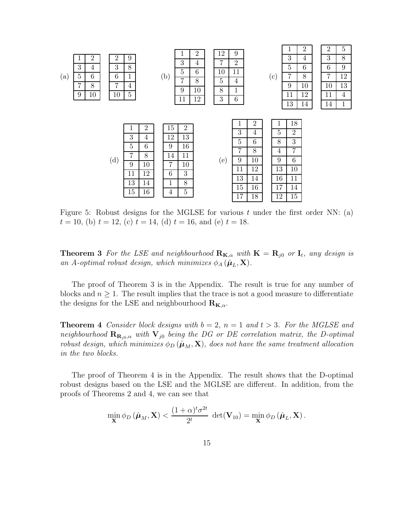

<span id="page-14-0"></span>Figure 5: Robust designs for the MGLSE for various  $t$  under the first order NN: (a)  $t = 10$ , (b)  $t = 12$ , (c)  $t = 14$ , (d)  $t = 16$ , and (e)  $t = 18$ .

**Theorem 3** For the LSE and neighbourhood  $\mathbf{R}_{\mathbf{K},\alpha}$  with  $\mathbf{K} = \mathbf{R}_{j0}$  or  $\mathbf{I}_t$ , any design is an A-optimal robust design, which minimizes  $\phi_A(\hat{\boldsymbol{\mu}}_L, \mathbf{X})$ .

The proof of Theorem 3 is in the Appendix. The result is true for any number of blocks and  $n \geq 1$ . The result implies that the trace is not a good measure to differentiate the designs for the LSE and neighbourhood  $\mathbf{R}_{\mathbf{K},\alpha}$ .

**Theorem 4** Consider block designs with  $b = 2$ ,  $n = 1$  and  $t > 3$ . For the MGLSE and neighbourhood  $\mathbf{R}_{\mathbf{R}_{j0},\alpha}$  with  $\mathbf{V}_{j0}$  being the DG or DE correlation matrix, the D-optimal robust design, which minimizes  $\phi_D(\hat{\mu}_M, \mathbf{X})$ , does not have the same treatment allocation in the two blocks.

The proof of Theorem 4 is in the Appendix. The result shows that the D-optimal robust designs based on the LSE and the MGLSE are different. In addition, from the proofs of Theorems 2 and 4, we can see that

$$
\min_{\mathbf{X}} \phi_D(\hat{\boldsymbol{\mu}}_M, \mathbf{X}) < \frac{(1+\alpha)^t \sigma^{2t}}{2^t} \ \det(\mathbf{V}_{10}) = \min_{\mathbf{X}} \phi_D(\hat{\boldsymbol{\mu}}_L, \mathbf{X}).
$$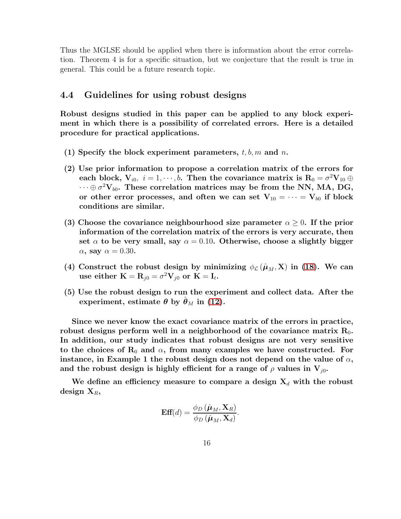Thus the MGLSE should be applied when there is information about the error correlation. Theorem 4 is for a specific situation, but we conjecture that the result is true in general. This could be a future research topic.

### 4.4 Guidelines for using robust designs

Robust designs studied in this paper can be applied to any block experiment in which there is a possibility of correlated errors. Here is a detailed procedure for practical applications.

- (1) Specify the block experiment parameters,  $t, b, m$  and n.
- (2) Use prior information to propose a correlation matrix of the errors for each block,  $V_{i0}$ ,  $i = 1, \dots, b$ . Then the covariance matrix is  $R_0 = \sigma^2 V_{10} \oplus$  $\cdots \oplus \sigma^2 \mathbf{V}_{b0}$ . These correlation matrices may be from the NN, MA, DG, or other error processes, and often we can set  $V_{10} = \cdots = V_{b0}$  if block conditions are similar.
- (3) Choose the covariance neighbourhood size parameter  $\alpha \geq 0$ . If the prior information of the correlation matrix of the errors is very accurate, then set  $\alpha$  to be very small, say  $\alpha = 0.10$ . Otherwise, choose a slightly bigger  $\alpha$ , say  $\alpha = 0.30$ .
- (4) Construct the robust design by minimizing  $\phi_{\mathcal{L}}(\hat{\mu}_M, X)$  in [\(18\)](#page-9-0). We can use either  $\mathbf{K} = \mathbf{R}_{j0} = \sigma^2 \mathbf{V}_{j0}$  or  $\mathbf{K} = \mathbf{I}_t$ .
- (5) Use the robust design to run the experiment and collect data. After the experiment, estimate  $\theta$  by  $\theta_M$  in [\(12\)](#page-7-1).

Since we never know the exact covariance matrix of the errors in practice, robust designs perform well in a neighborhood of the covariance matrix  $R_0$ . In addition, our study indicates that robust designs are not very sensitive to the choices of  $R_0$  and  $\alpha$ , from many examples we have constructed. For instance, in Example 1 the robust design does not depend on the value of  $\alpha$ , and the robust design is highly efficient for a range of  $\rho$  values in  $V_{j0}$ .

We define an efficiency measure to compare a design  $X_d$  with the robust design  $X_R$ ,

$$
\mathbf{Eff}(d) = \frac{\phi_D(\hat{\boldsymbol{\mu}}_M, \mathbf{X}_R)}{\phi_D(\hat{\boldsymbol{\mu}}_M, \mathbf{X}_d)}.
$$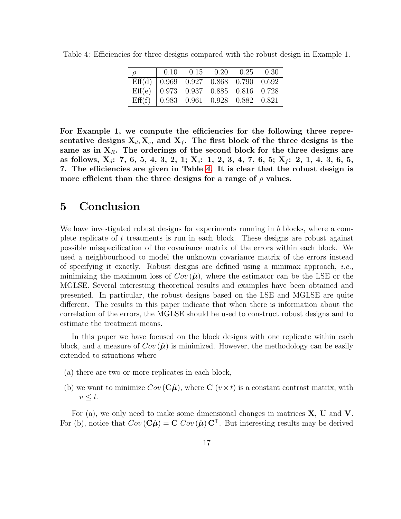| $\rho$ | $0.10$ $0.15$ $0.20$ $0.25$ $0.30$                                                                                                                                                                                                      |  |  |
|--------|-----------------------------------------------------------------------------------------------------------------------------------------------------------------------------------------------------------------------------------------|--|--|
|        |                                                                                                                                                                                                                                         |  |  |
|        |                                                                                                                                                                                                                                         |  |  |
|        | $\begin{tabular}{l cccccc} \hline \hline \rm Eff(d) & 0.969 & 0.927 & 0.868 & 0.790 & 0.692 \\ \hline \rm Eff(e) & 0.973 & 0.937 & 0.885 & 0.816 & 0.728 \\ \rm Eff(f) & 0.983 & 0.961 & 0.928 & 0.882 & 0.821 \\ \hline \end{tabular}$ |  |  |

<span id="page-16-0"></span>Table 4: Efficiencies for three designs compared with the robust design in Example 1.

For Example 1, we compute the efficiencies for the following three representative designs  $X_d, X_e$ , and  $X_f$ . The first block of the three designs is the same as in  $X_R$ . The orderings of the second block for the three designs are as follows,  $X_d$ : 7, 6, 5, 4, 3, 2, 1;  $X_e$ : 1, 2, 3, 4, 7, 6, 5;  $X_f$ : 2, 1, 4, 3, 6, 5, 7. The efficiencies are given in Table [4.](#page-16-0) It is clear that the robust design is more efficient than the three designs for a range of  $\rho$  values.

### 5 Conclusion

We have investigated robust designs for experiments running in b blocks, where a complete replicate of  $t$  treatments is run in each block. These designs are robust against possible misspecification of the covariance matrix of the errors within each block. We used a neighbourhood to model the unknown covariance matrix of the errors instead of specifying it exactly. Robust designs are defined using a minimax approach, *i.e.*, minimizing the maximum loss of  $Cov(\hat{\mu})$ , where the estimator can be the LSE or the MGLSE. Several interesting theoretical results and examples have been obtained and presented. In particular, the robust designs based on the LSE and MGLSE are quite different. The results in this paper indicate that when there is information about the correlation of the errors, the MGLSE should be used to construct robust designs and to estimate the treatment means.

In this paper we have focused on the block designs with one replicate within each block, and a measure of  $Cov(\hat{\mu})$  is minimized. However, the methodology can be easily extended to situations where

- (a) there are two or more replicates in each block,
- (b) we want to minimize  $Cov(\hat{\mathbf{C}}\hat{\boldsymbol{\mu}})$ , where  $\mathbf{C}$   $(v \times t)$  is a constant contrast matrix, with  $v \leq t$ .

For (a), we only need to make some dimensional changes in matrices  $X$ ,  $U$  and  $V$ . For (b), notice that  $Cov(\hat{\mathbf{C}}\hat{\boldsymbol{\mu}}) = \mathbf{C} Cov(\hat{\boldsymbol{\mu}}) \mathbf{C}^{\top}$ . But interesting results may be derived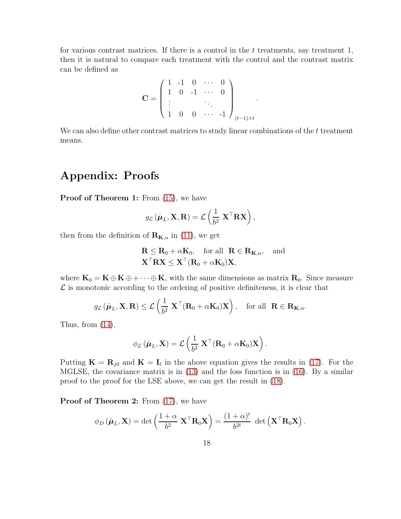for various contrast matrices. If there is a control in the  $t$  treatments, say treatment 1, then it is natural to compare each treatment with the control and the contrast matrix can be defined as

$$
\mathbf{C} = \begin{pmatrix} 1 & -1 & 0 & \cdots & 0 \\ 1 & 0 & -1 & \cdots & 0 \\ \vdots & & & \ddots & \\ 1 & 0 & 0 & \cdots & -1 \end{pmatrix}_{(t-1)\times t}
$$

We can also define other contrast matrices to study linear combinations of the  $t$  treatment means.

.

## Appendix: Proofs

Proof of Theorem 1: From  $(15)$ , we have

$$
g_{\mathcal{L}}\left(\hat{\boldsymbol{\mu}}_L,\mathbf{X},\mathbf{R}\right)=\mathcal{L}\left(\frac{1}{b^2} \mathbf{X}^\top \mathbf{R} \mathbf{X}\right),\,
$$

then from the definition of  $\mathbf{R}_{\mathbf{K},\alpha}$  in [\(11\)](#page-7-0), we get

$$
\mathbf{R} \leq \mathbf{R}_0 + \alpha \mathbf{K}_0, \quad \text{for all} \quad \mathbf{R} \in \mathbf{R}_{\mathbf{K}, \alpha}, \quad \text{and}
$$

$$
\mathbf{X}^\top \mathbf{R} \mathbf{X} \leq \mathbf{X}^\top (\mathbf{R}_0 + \alpha \mathbf{K}_0) \mathbf{X},
$$

where  $\mathbf{K}_0 = \mathbf{K} \oplus \mathbf{K} \oplus \cdots \oplus \mathbf{K}$ , with the same dimensions as matrix  $\mathbf{R}_0$ . Since measure  $\mathcal L$  is monotonic according to the ordering of positive definiteness, it is clear that

$$
g_{\mathcal{L}}(\hat{\boldsymbol{\mu}}_L, \mathbf{X}, \mathbf{R}) \leq \mathcal{L}\left(\frac{1}{b^2} \mathbf{X}^{\top}(\mathbf{R}_0 + \alpha \mathbf{K}_0)\mathbf{X}\right), \text{ for all } \mathbf{R} \in \mathbf{R}_{\mathbf{K}, \alpha}.
$$

Thus, from  $(14)$ ,

$$
\phi_{\mathcal{L}}\left(\hat{\boldsymbol{\mu}}_L,\mathbf{X}\right)=\mathcal{L}\left(\frac{1}{b^2} \mathbf{X}^{\top}(\mathbf{R}_0+\alpha\mathbf{K}_0)\mathbf{X}\right).
$$

Putting  $\mathbf{K} = \mathbf{R}_{j0}$  and  $\mathbf{K} = \mathbf{I}_t$  in the above equation gives the results in [\(17\)](#page-9-0). For the MGLSE, the covariance matrix is in  $(13)$  and the loss function is in  $(16)$ . By a similar proof to the proof for the LSE above, we can get the result in [\(18\)](#page-9-0).

Proof of Theorem 2: From  $(17)$ , we have

$$
\phi_D(\hat{\boldsymbol{\mu}}_L, \mathbf{X}) = \det \left( \frac{1+\alpha}{b^2} \mathbf{X}^\top \mathbf{R}_0 \mathbf{X} \right) = \frac{(1+\alpha)^t}{b^{2t}} \det \left( \mathbf{X}^\top \mathbf{R}_0 \mathbf{X} \right).
$$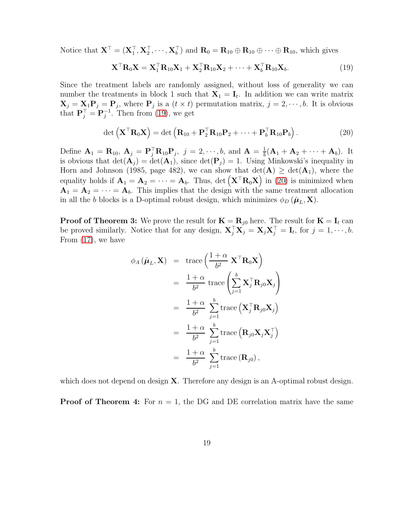Notice that  $\mathbf{X}^{\top} = (\mathbf{X}_1^{\top}, \mathbf{X}_2^{\top}, \cdots, \mathbf{X}_b^{\top})$  and  $\mathbf{R}_0 = \mathbf{R}_{10} \oplus \mathbf{R}_{10} \oplus \cdots \oplus \mathbf{R}_{10}$ , which gives

<span id="page-18-0"></span>
$$
\mathbf{X}^{\top} \mathbf{R}_0 \mathbf{X} = \mathbf{X}_1^{\top} \mathbf{R}_{10} \mathbf{X}_1 + \mathbf{X}_2^{\top} \mathbf{R}_{10} \mathbf{X}_2 + \dots + \mathbf{X}_b^{\top} \mathbf{R}_{10} \mathbf{X}_b.
$$
 (19)

Since the treatment labels are randomly assigned, without loss of generality we can number the treatments in block 1 such that  $X_1 = I_t$ . In addition we can write matrix  $\mathbf{X}_j = \mathbf{X}_1 \mathbf{P}_j = \mathbf{P}_j$ , where  $\mathbf{P}_j$  is a  $(t \times t)$  permutation matrix,  $j = 2, \dots, b$ . It is obvious that  $\mathbf{P}_j^{\top} = \mathbf{P}_j^{-1}$ . Then from [\(19\)](#page-18-0), we get

<span id="page-18-1"></span>
$$
\det\left(\mathbf{X}^{\top}\mathbf{R}_0\mathbf{X}\right) = \det\left(\mathbf{R}_{10} + \mathbf{P}_2^{\top}\mathbf{R}_{10}\mathbf{P}_2 + \cdots + \mathbf{P}_b^{\top}\mathbf{R}_{10}\mathbf{P}_b\right).
$$
\n(20)

Define  $\mathbf{A}_1 = \mathbf{R}_{10}$ ,  $\mathbf{A}_j = \mathbf{P}_j^{\top} \mathbf{R}_{10} \mathbf{P}_j$ ,  $j = 2, \dots, b$ , and  $\mathbf{A} = \frac{1}{b}$  $\frac{1}{b}(\mathbf{A}_1 + \mathbf{A}_2 + \cdots + \mathbf{A}_b)$ . It is obvious that  $\det(\mathbf{A}_i) = \det(\mathbf{A}_1)$ , since  $\det(\mathbf{P}_i) = 1$ . Using Minkowski's inequality in Horn and Johnson (1985, page 482), we can show that  $\det(A) \geq \det(A_1)$ , where the equality holds if  $\mathbf{A}_1 = \mathbf{A}_2 = \cdots = \mathbf{A}_b$ . Thus, det  $(\mathbf{X}^\top \mathbf{R}_0 \mathbf{X})$  in [\(20\)](#page-18-1) is minimized when  $A_1 = A_2 = \cdots = A_b$ . This implies that the design with the same treatment allocation in all the b blocks is a D-optimal robust design, which minimizes  $\phi_D(\hat{\boldsymbol{\mu}}_L, \mathbf{X})$ .

**Proof of Theorem 3:** We prove the result for  $\mathbf{K} = \mathbf{R}_{j0}$  here. The result for  $\mathbf{K} = \mathbf{I}_t$  can be proved similarly. Notice that for any design,  $\mathbf{X}_{j}^{\top} \mathbf{X}_{j} = \mathbf{X}_{j} \mathbf{X}_{j}^{\top} = \mathbf{I}_{t}$ , for  $j = 1, \dots, b$ . From [\(17\)](#page-9-0), we have

$$
\phi_A(\hat{\boldsymbol{\mu}}_L, \mathbf{X}) = \text{trace}\left(\frac{1+\alpha}{b^2} \mathbf{X}^\top \mathbf{R}_0 \mathbf{X}\right)
$$
  
\n
$$
= \frac{1+\alpha}{b^2} \text{trace}\left(\sum_{j=1}^b \mathbf{X}_j^\top \mathbf{R}_{j0} \mathbf{X}_j\right)
$$
  
\n
$$
= \frac{1+\alpha}{b^2} \sum_{j=1}^b \text{trace}\left(\mathbf{X}_j^\top \mathbf{R}_{j0} \mathbf{X}_j\right)
$$
  
\n
$$
= \frac{1+\alpha}{b^2} \sum_{j=1}^b \text{trace}\left(\mathbf{R}_{j0} \mathbf{X}_j \mathbf{X}_j^\top\right)
$$
  
\n
$$
= \frac{1+\alpha}{b^2} \sum_{j=1}^b \text{trace}\left(\mathbf{R}_{j0}\right),
$$

which does not depend on design  $X$ . Therefore any design is an A-optimal robust design.

**Proof of Theorem 4:** For  $n = 1$ , the DG and DE correlation matrix have the same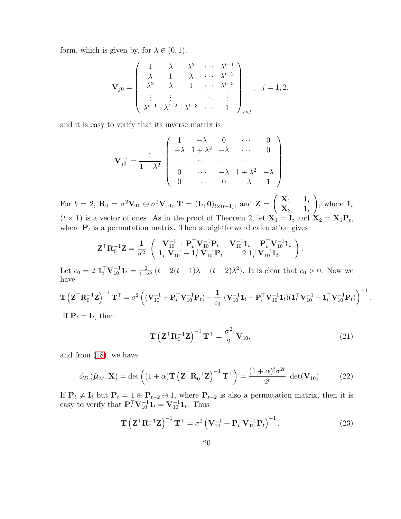form, which is given by, for  $\lambda \in (0,1)$ ,

$$
\mathbf{V}_{j0} = \begin{pmatrix} 1 & \lambda & \lambda^2 & \cdots & \lambda^{t-1} \\ \lambda & 1 & \lambda & \cdots & \lambda^{t-2} \\ \lambda^2 & \lambda & 1 & \cdots & \lambda^{t-3} \\ \vdots & \vdots & \ddots & \vdots \\ \lambda^{t-1} & \lambda^{t-2} & \lambda^{t-3} & \cdots & 1 \end{pmatrix}_{t \times t}, j = 1, 2,
$$

and it is easy to verify that its inverse matrix is

$$
\mathbf{V}_{j0}^{-1} = \frac{1}{1 - \lambda^2} \begin{pmatrix} 1 & -\lambda & 0 & \cdots & 0 \\ -\lambda & 1 + \lambda^2 & -\lambda & \cdots & 0 \\ \vdots & \vdots & \ddots & \vdots & \vdots \\ 0 & \cdots & -\lambda & 1 + \lambda^2 & -\lambda \\ 0 & \cdots & 0 & -\lambda & 1 \end{pmatrix}.
$$

For  $b = 2$ ,  $\mathbf{R}_0 = \sigma^2 \mathbf{V}_{10} \oplus \sigma^2 \mathbf{V}_{10}$ ,  $\mathbf{T} = (\mathbf{I}_t, \mathbf{0})_{t \times (t+1)}$ , and  $\mathbf{Z} =$  $\left( \begin{array}{ccc} \mathbf{X}_1 & \mathbf{1}_t \end{array} \right)$  $\mathbf{X}_2$   $-\mathbf{1}_t$  $\setminus$ , where  $\mathbf{1}_t$  $(t \times 1)$  is a vector of ones. As in the proof of Theorem 2, let  $X_1 = I_t$  and  $X_2 = X_1 P_t$ , where  $P_t$  is a permutation matrix. Then straightforward calculation gives

$$
\mathbf{Z}^{\top}\mathbf{R}_{0}^{-1}\mathbf{Z} = \frac{1}{\sigma^{2}} \begin{pmatrix} \mathbf{V}_{10}^{-1} + \mathbf{P}_{t}^{\top}\mathbf{V}_{10}^{-1}\mathbf{P}_{t} & \mathbf{V}_{10}^{-1}\mathbf{1}_{t} - \mathbf{P}_{t}^{\top}\mathbf{V}_{10}^{-1}\mathbf{1}_{t} \\ \mathbf{1}_{t}^{\top}\mathbf{V}_{10}^{-1} - \mathbf{1}_{t}^{\top}\mathbf{V}_{10}^{-1}\mathbf{P}_{t} & 2 \mathbf{1}_{t}^{\top}\mathbf{V}_{10}^{-1}\mathbf{1}_{t} \end{pmatrix}
$$

Let  $c_0 = 2 \mathbf{1}_t^{\top} \mathbf{V}_{10}^{-1} \mathbf{1}_t = \frac{2}{1-\lambda^2} (t-2(t-1)\lambda + (t-2)\lambda^2)$ . It is clear that  $c_0 > 0$ . Now we have

$$
\mathbf{T}\left(\mathbf{Z}^\top \mathbf{R}_0^{-1} \mathbf{Z}\right)^{-1} \mathbf{T}^\top = \sigma^2 \left( (\mathbf{V}_{10}^{-1} + \mathbf{P}_t^\top \mathbf{V}_{10}^{-1} \mathbf{P}_t) - \frac{1}{c_0} (\mathbf{V}_{10}^{-1} \mathbf{1}_t - \mathbf{P}_t^\top \mathbf{V}_{10}^{-1} \mathbf{1}_t) (\mathbf{1}_t^\top \mathbf{V}_{10}^{-1} - \mathbf{1}_t^\top \mathbf{V}_{10}^{-1} \mathbf{P}_t) \right)^{-1}
$$

If  $\mathbf{P}_t = \mathbf{I}_t$ , then

$$
\mathbf{T}\left(\mathbf{Z}^{\top}\mathbf{R}_{0}^{-1}\mathbf{Z}\right)^{-1}\mathbf{T}^{\top}=\frac{\sigma^{2}}{2}\mathbf{V}_{10},\tag{21}
$$

.

.

and from [\(18\)](#page-9-0), we have

<span id="page-19-1"></span>
$$
\phi_D(\hat{\boldsymbol{\mu}}_M, \mathbf{X}) = \det\left( (1+\alpha) \mathbf{T} \left( \mathbf{Z}^\top \mathbf{R}_0^{-1} \mathbf{Z} \right)^{-1} \mathbf{T}^\top \right) = \frac{(1+\alpha)^t \sigma^{2t}}{2^t} \det(\mathbf{V}_{10}). \tag{22}
$$

If  $P_t \neq I_t$  but  $P_t = 1 \oplus P_{t-2} \oplus 1$ , where  $P_{t-2}$  is also a permutation matrix, then it is easy to verify that  $\mathbf{P}_t^{\top} \mathbf{V}_{10}^{-1} \mathbf{1}_t = \mathbf{V}_{10}^{-1} \mathbf{1}_t$ . Thus

<span id="page-19-0"></span>
$$
\mathbf{T}\left(\mathbf{Z}^{\top}\mathbf{R}_{0}^{-1}\mathbf{Z}\right)^{-1}\mathbf{T}^{\top} = \sigma^{2}\left(\mathbf{V}_{10}^{-1} + \mathbf{P}_{t}^{\top}\mathbf{V}_{10}^{-1}\mathbf{P}_{t}\right)^{-1}.
$$
\n(23)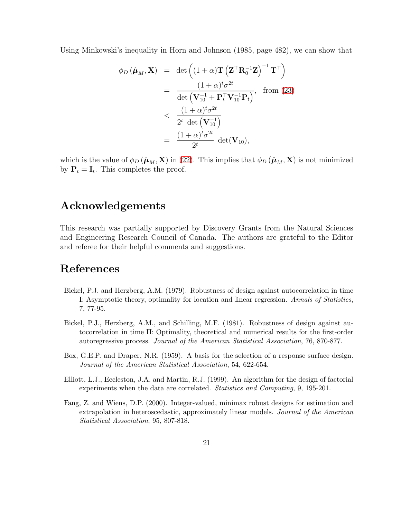Using Minkowski's inequality in Horn and Johnson (1985, page 482), we can show that

$$
\phi_D(\hat{\boldsymbol{\mu}}_M, \mathbf{X}) = \det \left( (1 + \alpha) \mathbf{T} \left( \mathbf{Z}^\top \mathbf{R}_0^{-1} \mathbf{Z} \right)^{-1} \mathbf{T}^\top \right)
$$
  
\n
$$
= \frac{(1 + \alpha)^t \sigma^{2t}}{\det \left( \mathbf{V}_{10}^{-1} + \mathbf{P}_t^\top \mathbf{V}_{10}^{-1} \mathbf{P}_t \right)}, \text{ from (23)}
$$
  
\n
$$
< \frac{(1 + \alpha)^t \sigma^{2t}}{2^t \det \left( \mathbf{V}_{10}^{-1} \right)}
$$
  
\n
$$
= \frac{(1 + \alpha)^t \sigma^{2t}}{2^t} \det(\mathbf{V}_{10}),
$$

which is the value of  $\phi_D(\hat{\mu}_M, \mathbf{X})$  in [\(22\)](#page-19-1). This implies that  $\phi_D(\hat{\mu}_M, \mathbf{X})$  is not minimized by  $P_t = I_t$ . This completes the proof.

### Acknowledgements

This research was partially supported by Discovery Grants from the Natural Sciences and Engineering Research Council of Canada. The authors are grateful to the Editor and referee for their helpful comments and suggestions.

# References

- Bickel, P.J. and Herzberg, A.M. (1979). Robustness of design against autocorrelation in time I: Asymptotic theory, optimality for location and linear regression. Annals of Statistics, 7, 77-95.
- Bickel, P.J., Herzberg, A.M., and Schilling, M.F. (1981). Robustness of design against autocorrelation in time II: Optimality, theoretical and numerical results for the first-order autoregressive process. Journal of the American Statistical Association, 76, 870-877.
- Box, G.E.P. and Draper, N.R. (1959). A basis for the selection of a response surface design. Journal of the American Statistical Association, 54, 622-654.
- Elliott, L.J., Eccleston, J.A. and Martin, R.J. (1999). An algorithm for the design of factorial experiments when the data are correlated. Statistics and Computing, 9, 195-201.
- Fang, Z. and Wiens, D.P. (2000). Integer-valued, minimax robust designs for estimation and extrapolation in heteroscedastic, approximately linear models. Journal of the American Statistical Association, 95, 807-818.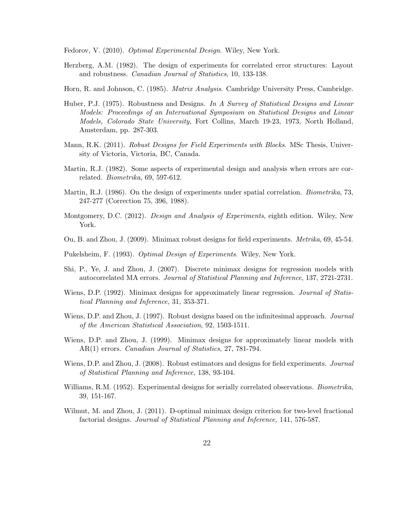Fedorov, V. (2010). *Optimal Experimental Design*. Wiley, New York.

- Herzberg, A.M. (1982). The design of experiments for correlated error structures: Layout and robustness. Canadian Journal of Statistics, 10, 133-138.
- Horn, R. and Johnson, C. (1985). *Matrix Analysis*. Cambridge University Press, Cambridge.
- Huber, P.J. (1975). Robustness and Designs. In A Survey of Statistical Designs and Linear Models: Proceedings of an International Symposium on Statistical Designs and Linear Models, Colorado State University, Fort Collins, March 19-23, 1973, North Holland, Amsterdam, pp. 287-303.
- Mann, R.K. (2011). *Robust Designs for Field Experiments with Blocks*. MSc Thesis, University of Victoria, Victoria, BC, Canada.
- Martin, R.J. (1982). Some aspects of experimental design and analysis when errors are correlated. Biometrika, 69, 597-612.
- Martin, R.J. (1986). On the design of experiments under spatial correlation. *Biometrika*, 73, 247-277 (Correction 75, 396, 1988).
- Montgomery, D.C. (2012). *Design and Analysis of Experiments*, eighth edition. Wiley, New York.
- Ou, B. and Zhou, J. (2009). Minimax robust designs for field experiments. Metrika, 69, 45-54.
- Pukelsheim, F. (1993). *Optimal Design of Experiments*. Wiley, New York.
- Shi, P., Ye, J. and Zhou, J. (2007). Discrete minimax designs for regression models with autocorrelated MA errors. Journal of Statistical Planning and Inference, 137, 2721-2731.
- Wiens, D.P. (1992). Minimax designs for approximately linear regression. *Journal of Statis*tical Planning and Inference, 31, 353-371.
- Wiens, D.P. and Zhou, J. (1997). Robust designs based on the infinitesimal approach. *Journal* of the American Statistical Association, 92, 1503-1511.
- Wiens, D.P. and Zhou, J. (1999). Minimax designs for approximately linear models with AR(1) errors. *Canadian Journal of Statistics*, 27, 781-794.
- Wiens, D.P. and Zhou, J. (2008). Robust estimators and designs for field experiments. *Journal* of Statistical Planning and Inference, 138, 93-104.
- Williams, R.M. (1952). Experimental designs for serially correlated observations. *Biometrika*, 39, 151-167.
- Wilmut, M. and Zhou, J. (2011). D-optimal minimax design criterion for two-level fractional factorial designs. Journal of Statistical Planning and Inference, 141, 576-587.